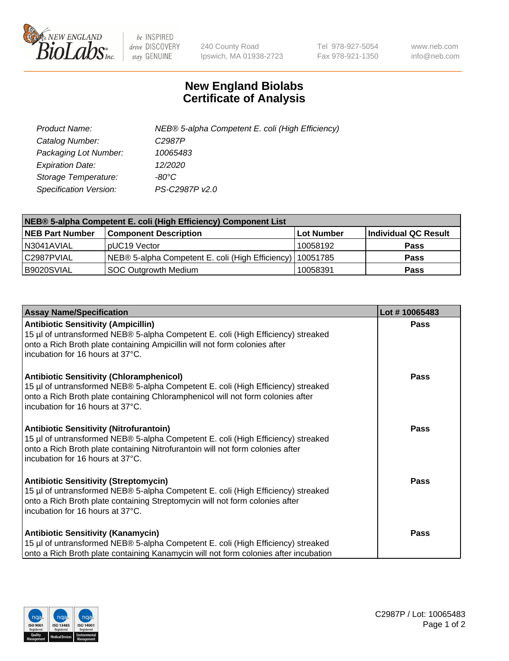

 $be$  INSPIRED drive DISCOVERY stay GENUINE

240 County Road Ipswich, MA 01938-2723 Tel 978-927-5054 Fax 978-921-1350 www.neb.com info@neb.com

## **New England Biolabs Certificate of Analysis**

| Product Name:                 | NEB® 5-alpha Competent E. coli (High Efficiency) |
|-------------------------------|--------------------------------------------------|
| Catalog Number:               | C <sub>2987</sub> P                              |
| Packaging Lot Number:         | 10065483                                         |
| <b>Expiration Date:</b>       | 12/2020                                          |
| Storage Temperature:          | -80°C                                            |
| <b>Specification Version:</b> | PS-C2987P v2.0                                   |

| NEB® 5-alpha Competent E. coli (High Efficiency) Component List |                                                             |            |                      |  |
|-----------------------------------------------------------------|-------------------------------------------------------------|------------|----------------------|--|
| <b>NEB Part Number</b>                                          | <b>Component Description</b>                                | Lot Number | Individual QC Result |  |
| N3041AVIAL                                                      | pUC19 Vector                                                | 10058192   | <b>Pass</b>          |  |
| C2987PVIAL                                                      | NEB® 5-alpha Competent E. coli (High Efficiency)   10051785 |            | <b>Pass</b>          |  |
| B9020SVIAL                                                      | SOC Outgrowth Medium                                        | 10058391   | <b>Pass</b>          |  |

| <b>Assay Name/Specification</b>                                                                                                                                                                                                                            | Lot #10065483 |
|------------------------------------------------------------------------------------------------------------------------------------------------------------------------------------------------------------------------------------------------------------|---------------|
| <b>Antibiotic Sensitivity (Ampicillin)</b><br>15 µl of untransformed NEB® 5-alpha Competent E. coli (High Efficiency) streaked<br>onto a Rich Broth plate containing Ampicillin will not form colonies after<br>incubation for 16 hours at 37°C.           | <b>Pass</b>   |
| <b>Antibiotic Sensitivity (Chloramphenicol)</b><br>15 µl of untransformed NEB® 5-alpha Competent E. coli (High Efficiency) streaked<br>onto a Rich Broth plate containing Chloramphenicol will not form colonies after<br>incubation for 16 hours at 37°C. | Pass          |
| <b>Antibiotic Sensitivity (Nitrofurantoin)</b><br>15 µl of untransformed NEB® 5-alpha Competent E. coli (High Efficiency) streaked<br>onto a Rich Broth plate containing Nitrofurantoin will not form colonies after<br>incubation for 16 hours at 37°C.   | Pass          |
| <b>Antibiotic Sensitivity (Streptomycin)</b><br>15 µl of untransformed NEB® 5-alpha Competent E. coli (High Efficiency) streaked<br>onto a Rich Broth plate containing Streptomycin will not form colonies after<br>incubation for 16 hours at 37°C.       | <b>Pass</b>   |
| <b>Antibiotic Sensitivity (Kanamycin)</b><br>15 µl of untransformed NEB® 5-alpha Competent E. coli (High Efficiency) streaked<br>onto a Rich Broth plate containing Kanamycin will not form colonies after incubation                                      | Pass          |